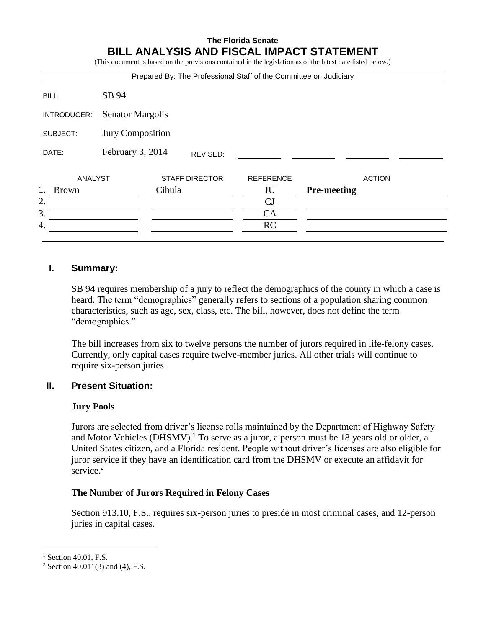# **The Florida Senate BILL ANALYSIS AND FISCAL IMPACT STATEMENT**

(This document is based on the provisions contained in the legislation as of the latest date listed below.)

| SB 94            |                       |                                             |                                                                   |
|------------------|-----------------------|---------------------------------------------|-------------------------------------------------------------------|
|                  |                       |                                             |                                                                   |
| Jury Composition |                       |                                             |                                                                   |
|                  | REVISED:              |                                             |                                                                   |
|                  | <b>STAFF DIRECTOR</b> | <b>REFERENCE</b>                            | <b>ACTION</b>                                                     |
|                  | Cibula                | JU                                          | <b>Pre-meeting</b>                                                |
|                  |                       | CJ                                          |                                                                   |
|                  |                       | CA                                          |                                                                   |
|                  |                       | <b>RC</b>                                   |                                                                   |
|                  | ANALYST               | <b>Senator Margolis</b><br>February 3, 2014 | Prepared By: The Professional Staff of the Committee on Judiciary |

### **I. Summary:**

SB 94 requires membership of a jury to reflect the demographics of the county in which a case is heard. The term "demographics" generally refers to sections of a population sharing common characteristics, such as age, sex, class, etc. The bill, however, does not define the term "demographics."

The bill increases from six to twelve persons the number of jurors required in life-felony cases. Currently, only capital cases require twelve-member juries. All other trials will continue to require six-person juries.

## **II. Present Situation:**

#### **Jury Pools**

Jurors are selected from driver's license rolls maintained by the Department of Highway Safety and Motor Vehicles (DHSMV).<sup>1</sup> To serve as a juror, a person must be 18 years old or older, a United States citizen, and a Florida resident. People without driver's licenses are also eligible for juror service if they have an identification card from the DHSMV or execute an affidavit for service.<sup>2</sup>

### **The Number of Jurors Required in Felony Cases**

Section 913.10, F.S., requires six-person juries to preside in most criminal cases, and 12-person juries in capital cases.

 $<sup>1</sup>$  Section 40.01, F.S.</sup>

<sup>&</sup>lt;sup>2</sup> Section 40.011(3) and (4), F.S.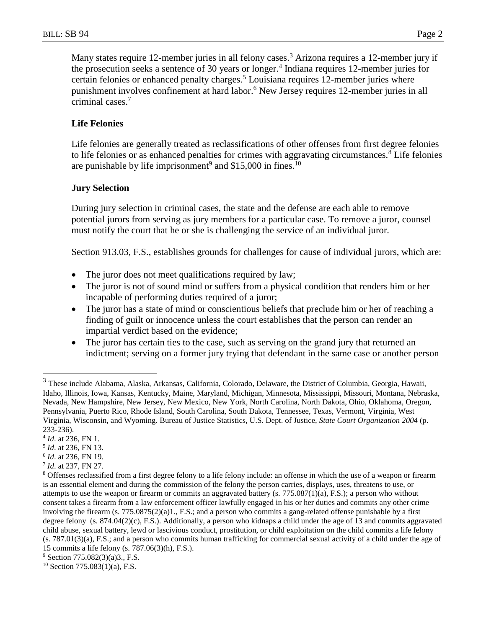Many states require 12-member juries in all felony cases.<sup>3</sup> Arizona requires a 12-member jury if the prosecution seeks a sentence of 30 years or longer.<sup>4</sup> Indiana requires 12-member juries for certain felonies or enhanced penalty charges.<sup>5</sup> Louisiana requires 12-member juries where punishment involves confinement at hard labor.<sup>6</sup> New Jersey requires 12-member juries in all criminal cases.<sup>7</sup>

## **Life Felonies**

Life felonies are generally treated as reclassifications of other offenses from first degree felonies to life felonies or as enhanced penalties for crimes with aggravating circumstances.<sup>8</sup> Life felonies are punishable by life imprisonment<sup>9</sup> and \$15,000 in fines.<sup>10</sup>

## **Jury Selection**

During jury selection in criminal cases, the state and the defense are each able to remove potential jurors from serving as jury members for a particular case. To remove a juror, counsel must notify the court that he or she is challenging the service of an individual juror.

Section 913.03, F.S., establishes grounds for challenges for cause of individual jurors, which are:

- The juror does not meet qualifications required by law;
- The juror is not of sound mind or suffers from a physical condition that renders him or her incapable of performing duties required of a juror;
- The juror has a state of mind or conscientious beliefs that preclude him or her of reaching a finding of guilt or innocence unless the court establishes that the person can render an impartial verdict based on the evidence;
- The juror has certain ties to the case, such as serving on the grand jury that returned an indictment; serving on a former jury trying that defendant in the same case or another person

<sup>3</sup> These include Alabama, Alaska, Arkansas, California, Colorado, Delaware, the District of Columbia, Georgia, Hawaii, Idaho, Illinois, Iowa, Kansas, Kentucky, Maine, Maryland, Michigan, Minnesota, Mississippi, Missouri, Montana, Nebraska, Nevada, New Hampshire, New Jersey, New Mexico, New York, North Carolina, North Dakota, Ohio, Oklahoma, Oregon, Pennsylvania, Puerto Rico, Rhode Island, South Carolina, South Dakota, Tennessee, Texas, Vermont, Virginia, West Virginia, Wisconsin, and Wyoming. Bureau of Justice Statistics, U.S. Dept. of Justice, *State Court Organization 2004* (p. 233-236).

<sup>4</sup> *Id*. at 236, FN 1.

<sup>5</sup> *Id*. at 236, FN 13.

<sup>6</sup> *Id*. at 236, FN 19.

<sup>7</sup> *Id*. at 237, FN 27.

<sup>&</sup>lt;sup>8</sup> Offenses reclassified from a first degree felony to a life felony include: an offense in which the use of a weapon or firearm is an essential element and during the commission of the felony the person carries, displays, uses, threatens to use, or attempts to use the weapon or firearm or commits an aggravated battery (s. 775.087(1)(a), F.S.); a person who without consent takes a firearm from a law enforcement officer lawfully engaged in his or her duties and commits any other crime involving the firearm (s. 775.0875(2)(a)1., F.S.; and a person who commits a gang-related offense punishable by a first degree felony (s. 874.04(2)(c), F.S.). Additionally, a person who kidnaps a child under the age of 13 and commits aggravated child abuse, sexual battery, lewd or lascivious conduct, prostitution, or child exploitation on the child commits a life felony  $(s. 787.01(3)(a), F.S.;$  and a person who commits human trafficking for commercial sexual activity of a child under the age of 15 commits a life felony (s. 787.06(3)(h), F.S.).

<sup>9</sup> Section 775.082(3)(a)3., F.S.

 $10$  Section 775.083(1)(a), F.S.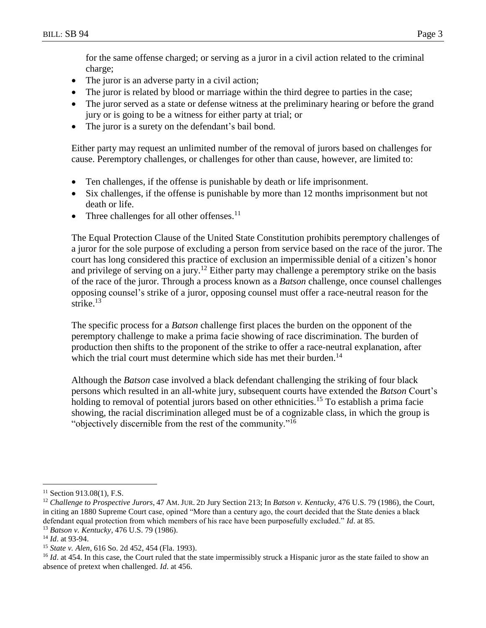for the same offense charged; or serving as a juror in a civil action related to the criminal charge;

- The juror is an adverse party in a civil action;
- The juror is related by blood or marriage within the third degree to parties in the case;
- The juror served as a state or defense witness at the preliminary hearing or before the grand jury or is going to be a witness for either party at trial; or
- The juror is a surety on the defendant's bail bond.

Either party may request an unlimited number of the removal of jurors based on challenges for cause. Peremptory challenges, or challenges for other than cause, however, are limited to:

- Ten challenges, if the offense is punishable by death or life imprisonment.
- Six challenges, if the offense is punishable by more than 12 months imprisonment but not death or life.
- Three challenges for all other offenses. $<sup>11</sup>$ </sup>

The Equal Protection Clause of the United State Constitution prohibits peremptory challenges of a juror for the sole purpose of excluding a person from service based on the race of the juror. The court has long considered this practice of exclusion an impermissible denial of a citizen's honor and privilege of serving on a jury.<sup>12</sup> Either party may challenge a peremptory strike on the basis of the race of the juror. Through a process known as a *Batson* challenge, once counsel challenges opposing counsel's strike of a juror, opposing counsel must offer a race-neutral reason for the strike.<sup>13</sup>

The specific process for a *Batson* challenge first places the burden on the opponent of the peremptory challenge to make a prima facie showing of race discrimination. The burden of production then shifts to the proponent of the strike to offer a race-neutral explanation, after which the trial court must determine which side has met their burden.<sup>14</sup>

Although the *Batson* case involved a black defendant challenging the striking of four black persons which resulted in an all-white jury, subsequent courts have extended the *Batson* Court's holding to removal of potential jurors based on other ethnicities.<sup>15</sup> To establish a prima facie showing, the racial discrimination alleged must be of a cognizable class, in which the group is "objectively discernible from the rest of the community."<sup>16</sup>

<sup>&</sup>lt;sup>11</sup> Section 913.08(1), F.S.

<sup>12</sup> *Challenge to Prospective Jurors*, 47 AM. JUR. 2D Jury Section 213; In *Batson v. Kentucky*, 476 U.S. 79 (1986), the Court, in citing an 1880 Supreme Court case, opined "More than a century ago, the court decided that the State denies a black defendant equal protection from which members of his race have been purposefully excluded." *Id*. at 85.

<sup>13</sup> *Batson v. Kentucky*, 476 U.S. 79 (1986).

<sup>14</sup> *Id*. at 93-94.

<sup>15</sup> *State v. Alen*, 616 So. 2d 452, 454 (Fla. 1993).

<sup>&</sup>lt;sup>16</sup> *Id.* at 454. In this case, the Court ruled that the state impermissibly struck a Hispanic juror as the state failed to show an absence of pretext when challenged. *Id*. at 456.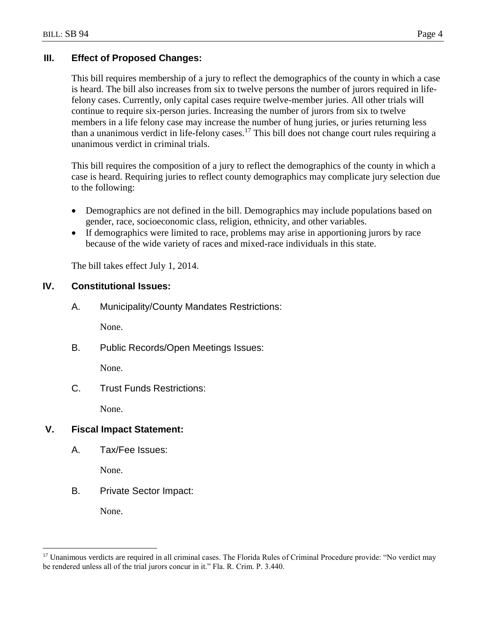# **III. Effect of Proposed Changes:**

This bill requires membership of a jury to reflect the demographics of the county in which a case is heard. The bill also increases from six to twelve persons the number of jurors required in lifefelony cases. Currently, only capital cases require twelve-member juries. All other trials will continue to require six-person juries. Increasing the number of jurors from six to twelve members in a life felony case may increase the number of hung juries, or juries returning less than a unanimous verdict in life-felony cases.<sup>17</sup> This bill does not change court rules requiring a unanimous verdict in criminal trials.

This bill requires the composition of a jury to reflect the demographics of the county in which a case is heard. Requiring juries to reflect county demographics may complicate jury selection due to the following:

- Demographics are not defined in the bill. Demographics may include populations based on gender, race, socioeconomic class, religion, ethnicity, and other variables.
- If demographics were limited to race, problems may arise in apportioning jurors by race because of the wide variety of races and mixed-race individuals in this state.

The bill takes effect July 1, 2014.

## **IV. Constitutional Issues:**

A. Municipality/County Mandates Restrictions:

None.

B. Public Records/Open Meetings Issues:

None.

C. Trust Funds Restrictions:

None.

## **V. Fiscal Impact Statement:**

A. Tax/Fee Issues:

None.

B. Private Sector Impact:

None.

<sup>&</sup>lt;sup>17</sup> Unanimous verdicts are required in all criminal cases. The Florida Rules of Criminal Procedure provide: "No verdict may be rendered unless all of the trial jurors concur in it." Fla. R. Crim. P. 3.440.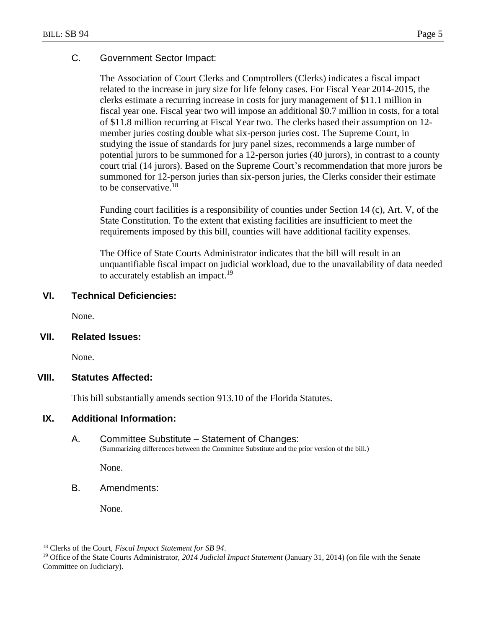## C. Government Sector Impact:

The Association of Court Clerks and Comptrollers (Clerks) indicates a fiscal impact related to the increase in jury size for life felony cases. For Fiscal Year 2014-2015, the clerks estimate a recurring increase in costs for jury management of \$11.1 million in fiscal year one. Fiscal year two will impose an additional \$0.7 million in costs, for a total of \$11.8 million recurring at Fiscal Year two. The clerks based their assumption on 12 member juries costing double what six-person juries cost. The Supreme Court, in studying the issue of standards for jury panel sizes, recommends a large number of potential jurors to be summoned for a 12-person juries (40 jurors), in contrast to a county court trial (14 jurors). Based on the Supreme Court's recommendation that more jurors be summoned for 12-person juries than six-person juries, the Clerks consider their estimate to be conservative.  $18$ 

Funding court facilities is a responsibility of counties under Section 14 (c), Art. V, of the State Constitution. To the extent that existing facilities are insufficient to meet the requirements imposed by this bill, counties will have additional facility expenses.

The Office of State Courts Administrator indicates that the bill will result in an unquantifiable fiscal impact on judicial workload, due to the unavailability of data needed to accurately establish an impact.<sup>19</sup>

### **VI. Technical Deficiencies:**

None.

### **VII. Related Issues:**

None.

### **VIII. Statutes Affected:**

This bill substantially amends section 913.10 of the Florida Statutes.

### **IX. Additional Information:**

#### A. Committee Substitute – Statement of Changes: (Summarizing differences between the Committee Substitute and the prior version of the bill.)

None.

B. Amendments:

None.

<sup>18</sup> Clerks of the Court, *Fiscal Impact Statement for SB 94*.

<sup>&</sup>lt;sup>19</sup> Office of the State Courts Administrator, *2014 Judicial Impact Statement* (January 31, 2014) (on file with the Senate Committee on Judiciary).